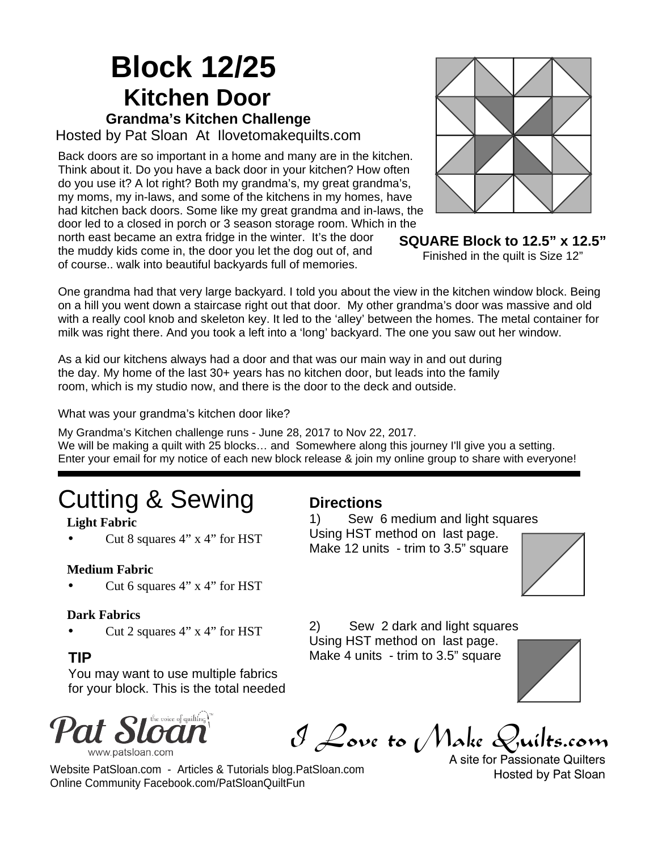## **Block 12/25 Kitchen Door Grandma's Kitchen Challenge**

Hosted by Pat Sloan At Ilovetomakequilts.com

Back doors are so important in a home and many are in the kitchen. Think about it. Do you have a back door in your kitchen? How often do you use it? A lot right? Both my grandma's, my great grandma's, my moms, my in-laws, and some of the kitchens in my homes, have had kitchen back doors. Some like my great grandma and in-laws, the door led to a closed in porch or 3 season storage room. Which in the

north east became an extra fridge in the winter. It's the door the muddy kids come in, the door you let the dog out of, and of course.. walk into beautiful backyards full of memories.



**SQUARE Block to 12.5" x 12.5"** Finished in the quilt is Size 12"

One grandma had that very large backyard. I told you about the view in the kitchen window block. Being on a hill you went down a staircase right out that door. My other grandma's door was massive and old with a really cool knob and skeleton key. It led to the 'alley' between the homes. The metal container for milk was right there. And you took a left into a 'long' backyard. The one you saw out her window.

As a kid our kitchens always had a door and that was our main way in and out during the day. My home of the last 30+ years has no kitchen door, but leads into the family room, which is my studio now, and there is the door to the deck and outside.

What was your grandma's kitchen door like?

My Grandma's Kitchen challenge runs - June 28, 2017 to Nov 22, 2017. We will be making a quilt with 25 blocks... and Somewhere along this journey I'll give you a setting. Enter your email for my notice of each new block release & join my online group to share with everyone!

# Cutting & Sewing

#### **Light Fabric**

Cut 8 squares 4" x 4" for HST

#### **Medium Fabric**

Cut 6 squares 4" x 4" for HST

#### **Dark Fabrics**

#### **TIP**

ä,

You may want to use multiple fabrics for your block. This is the total needed

Online Community Facebook.com/PatSloanQuiltFun

Website PatSloan.com - Articles & Tutorials blog.PatSloan.com



I Love to Make Quilts.com

A site for Passionate Quilters Hosted by Pat Sloan

#### **Directions**

1) Sew 6 medium and light squares Using HST method on last page. Make 12 units - trim to 3.5" square



Cut 2 squares 4" x 4" for HST 2) Sew 2 dark and light squares Using HST method on last page. Make 4 units - trim to 3.5" square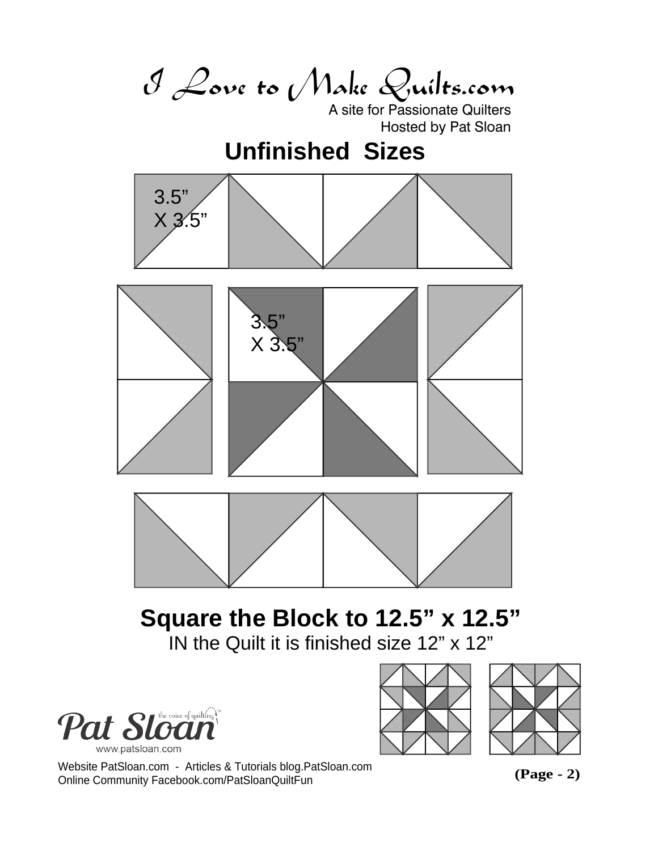I Love to Make Quilts.com

A site for Passionate Quilters Hosted by Pat Sloan

## **Unfinished Sizes**







# **Square the Block to 12.5" x 12.5"**

IN the Quilt it is finished size 12" x 12"







Website PatSloan.com - Articles & Tutorials blog.PatSloan.com Online Community Facebook.com/PatSloanQuiltFun

**(Page - 2)**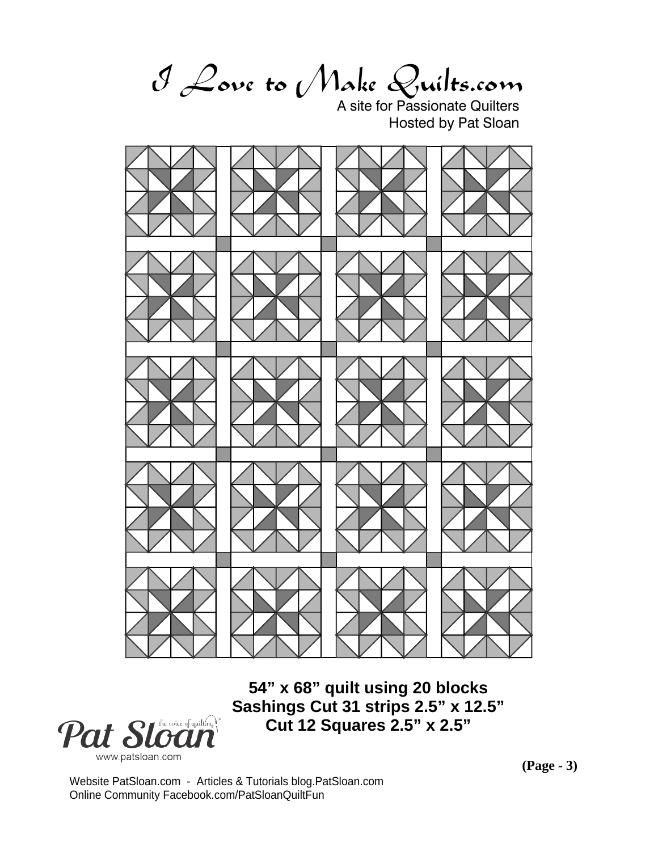I Love to Make Quilts.com

A site for Passionate Quilters Hosted by Pat Sloan



**54" x 68" quilt using 20 blocks Sashings Cut 31 strips 2.5" x 12.5" Cut 12 Squares 2.5" x 2.5"**



**(Page - 3)**

Website PatSloan.com - Articles & Tutorials blog.PatSloan.com Online Community Facebook.com/PatSloanQuiltFun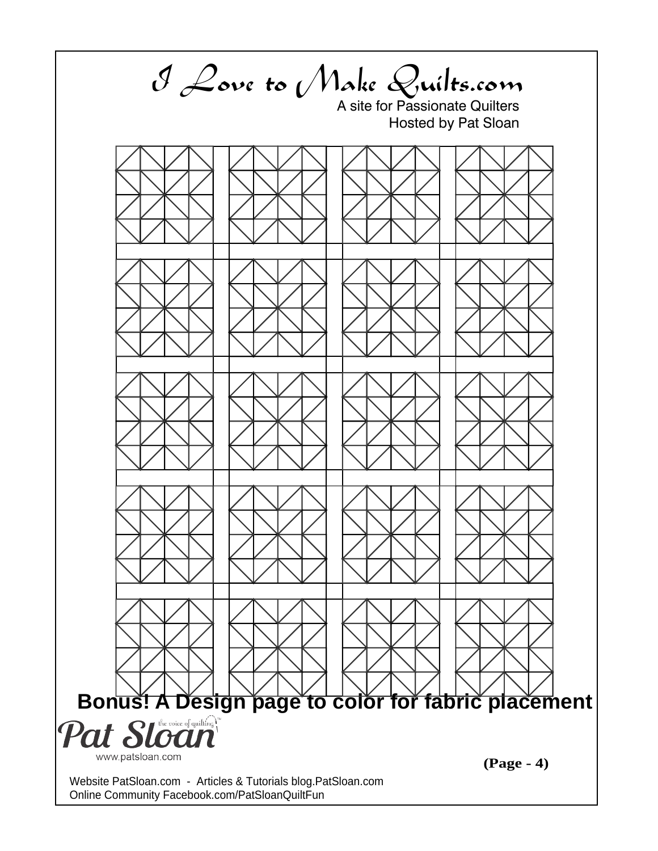